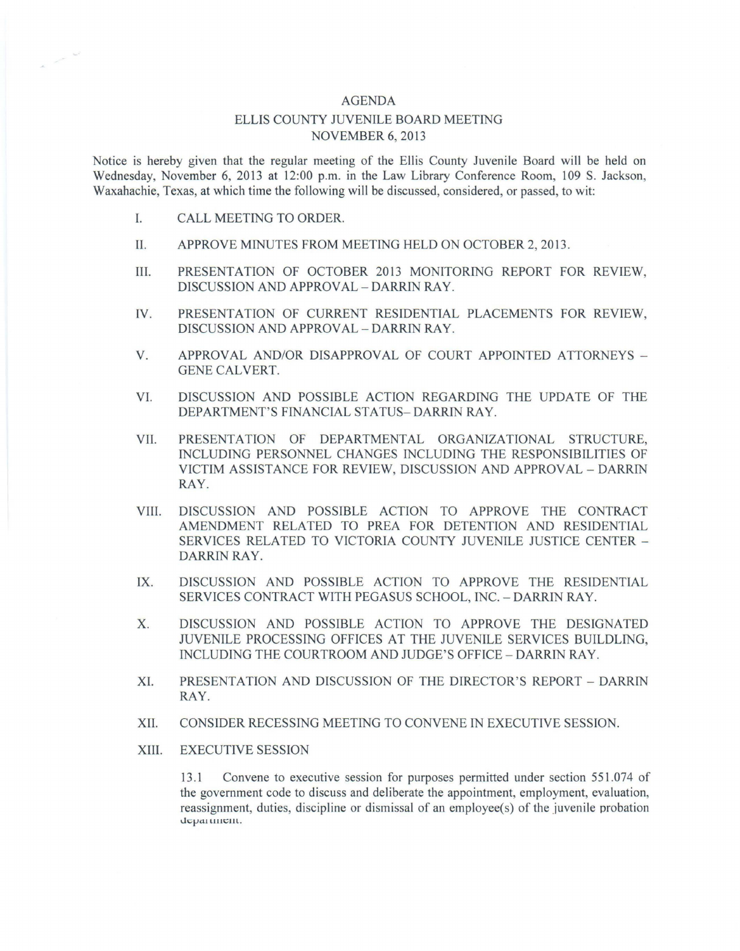## AGENDA

## ELLIS COUNTY JUVENILE BOARD MEETING NOVEMBER 6, 2013

Notice is hereby given that the regular meeting of the Ellis County Juvenile Board will be held on Wednesday, November 6, 2013 at 12:00 p.m. in the Law Library Conference Room, 109 S. Jackson, Waxahachie, Texas, at which time the following will be discussed, considered, or passed, to wit:

I. CALL MEETING TO ORDER.

 $\sim$  $\mathcal{L}^{\mu\nu}$ 

- II. APPROVE MINUTES FROM MEETING HELD ON OCTOBER 2, 2013 .
- III. PRESENTATION OF OCTOBER 2013 MONITORING REPORT FOR REVIEW, DISCUSSION AND APPROVAL - DARRIN RAY.
- IV. PRESENTATION OF CURRENT RESIDENTIAL PLACEMENTS FOR REVIEW, DISCUSSION AND APPROVAL - DARRIN RAY.
- V. APPROVAL AND/OR DISAPPROVAL OF COURT APPOINTED ATTORNEYS -GENE CALVERT.
- VI. DISCUSSION AND POSSIBLE ACTION REGARDING THE UPDATE OF THE DEPARTMENT'S FINANCIAL STATUS- DARRIN RAY.
- VII. PRESENTATION OF DEPARTMENTAL ORGANIZATIONAL STRUCTURE, INCLUDING PERSONNEL CHANGES INCLUDING THE RESPONSIBILITIES OF VICTIM ASSISTANCE FOR REVIEW, DISCUSSION AND APPROVAL - DARRIN RAY.
- VIII. DISCUSSION AND POSSIBLE ACTION TO APPROVE THE CONTRACT AMENDMENT RELATED TO PREA FOR DETENTION AND RESIDENTIAL SERVICES RELATED TO VICTORIA COUNTY JUVENILE JUSTICE CENTER - DARRIN RAY.
- IX. DISCUSSION AND POSSIBLE ACTION TO APPROVE THE RESIDENTIAL SERVICES CONTRACT WITH PEGASUS SCHOOL, INC. - DARRIN RAY.
- X. DISCUSSION AND POSSIBLE ACTION TO APPROVE THE DESIGNATED JUVENILE PROCESSING OFFICES AT THE JUVENILE SERVICES BUILDLING, INCLUDING THE COURTROOM AND JUDGE'S OFFICE - DARRIN RAY.
- XI. PRESENTATION AND DISCUSSION OF THE DIRECTOR'S REPORT DARRIN RAY.
- XII. CONSIDER RECESSING MEETING TO CONVENE IN EXECUTIVE SESSION.
- XIII. EXECUTIVE SESSION

13 .1 Convene to executive session for purposes permitted under section 551.074 of the government code to discuss and deliberate the appointment, employment, evaluation, reassignment, duties, discipline or dismissal of an employee(s) of the juvenile probation department.